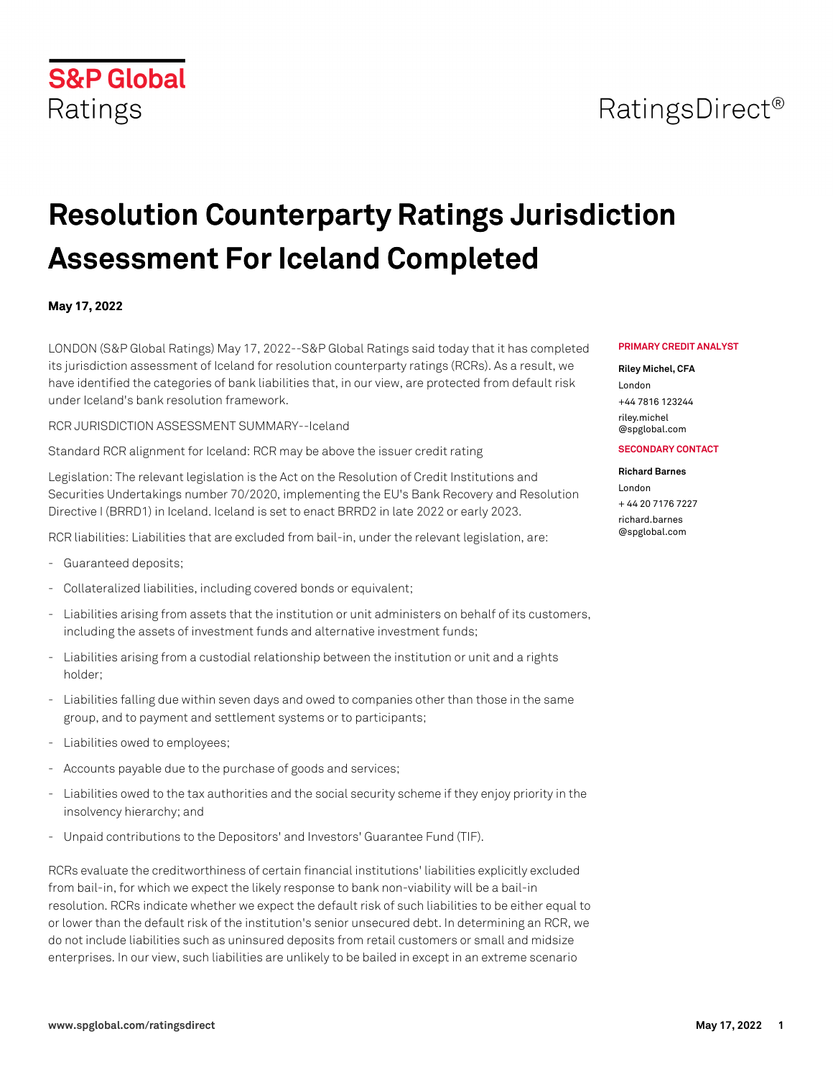## **S&P Global** Ratings

# **Resolution Counterparty Ratings Jurisdiction Assessment For Iceland Completed**

### **May 17, 2022**

LONDON (S&P Global Ratings) May 17, 2022--S&P Global Ratings said today that it has completed its jurisdiction assessment of Iceland for resolution counterparty ratings (RCRs). As a result, we have identified the categories of bank liabilities that, in our view, are protected from default risk under Iceland's bank resolution framework.

RCR JURISDICTION ASSESSMENT SUMMARY--Iceland

Standard RCR alignment for Iceland: RCR may be above the issuer credit rating

Legislation: The relevant legislation is the Act on the Resolution of Credit Institutions and Securities Undertakings number 70/2020, implementing the EU's Bank Recovery and Resolution Directive I (BRRD1) in Iceland. Iceland is set to enact BRRD2 in late 2022 or early 2023.

RCR liabilities: Liabilities that are excluded from bail-in, under the relevant legislation, are:

- Guaranteed deposits;
- Collateralized liabilities, including covered bonds or equivalent;
- Liabilities arising from assets that the institution or unit administers on behalf of its customers, including the assets of investment funds and alternative investment funds;
- Liabilities arising from a custodial relationship between the institution or unit and a rights holder;
- Liabilities falling due within seven days and owed to companies other than those in the same group, and to payment and settlement systems or to participants;
- Liabilities owed to employees;
- Accounts payable due to the purchase of goods and services;
- Liabilities owed to the tax authorities and the social security scheme if they enjoy priority in the insolvency hierarchy; and
- Unpaid contributions to the Depositors' and Investors' Guarantee Fund (TIF).

RCRs evaluate the creditworthiness of certain financial institutions' liabilities explicitly excluded from bail-in, for which we expect the likely response to bank non-viability will be a bail-in resolution. RCRs indicate whether we expect the default risk of such liabilities to be either equal to or lower than the default risk of the institution's senior unsecured debt. In determining an RCR, we do not include liabilities such as uninsured deposits from retail customers or small and midsize enterprises. In our view, such liabilities are unlikely to be bailed in except in an extreme scenario

#### **PRIMARY CREDIT ANALYST**

#### **Riley Michel, CFA**

London +44 7816 123244 [riley.michel](mailto: riley.michel@spglobal.com) [@spglobal.com](mailto: riley.michel@spglobal.com)

#### **SECONDARY CONTACT**

#### **Richard Barnes**

London + 44 20 7176 7227 [richard.barnes](mailto: richard.barnes@spglobal.com) [@spglobal.com](mailto: richard.barnes@spglobal.com)

## RatingsDirect<sup>®</sup>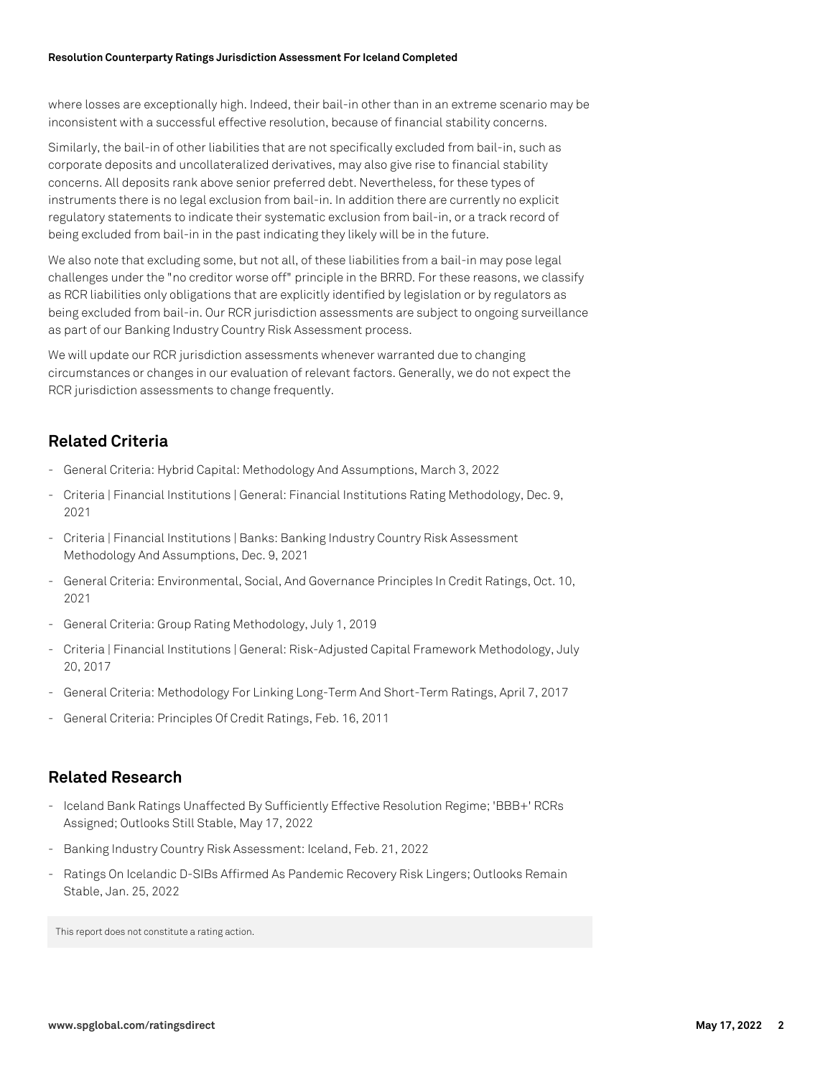where losses are exceptionally high. Indeed, their bail-in other than in an extreme scenario may be inconsistent with a successful effective resolution, because of financial stability concerns.

Similarly, the bail-in of other liabilities that are not specifically excluded from bail-in, such as corporate deposits and uncollateralized derivatives, may also give rise to financial stability concerns. All deposits rank above senior preferred debt. Nevertheless, for these types of instruments there is no legal exclusion from bail-in. In addition there are currently no explicit regulatory statements to indicate their systematic exclusion from bail-in, or a track record of being excluded from bail-in in the past indicating they likely will be in the future.

We also note that excluding some, but not all, of these liabilities from a bail-in may pose legal challenges under the "no creditor worse off" principle in the BRRD. For these reasons, we classify as RCR liabilities only obligations that are explicitly identified by legislation or by regulators as being excluded from bail-in. Our RCR jurisdiction assessments are subject to ongoing surveillance as part of our Banking Industry Country Risk Assessment process.

We will update our RCR jurisdiction assessments whenever warranted due to changing circumstances or changes in our evaluation of relevant factors. Generally, we do not expect the RCR jurisdiction assessments to change frequently.

## **Related Criteria**

- General Criteria: Hybrid Capital: Methodology And Assumptions, March 3, 2022
- Criteria | Financial Institutions | General: Financial Institutions Rating Methodology, Dec. 9, 2021
- Criteria | Financial Institutions | Banks: Banking Industry Country Risk Assessment Methodology And Assumptions, Dec. 9, 2021
- General Criteria: Environmental, Social, And Governance Principles In Credit Ratings, Oct. 10, 2021
- General Criteria: Group Rating Methodology, July 1, 2019
- Criteria | Financial Institutions | General: Risk-Adjusted Capital Framework Methodology, July 20, 2017
- General Criteria: Methodology For Linking Long-Term And Short-Term Ratings, April 7, 2017
- General Criteria: Principles Of Credit Ratings, Feb. 16, 2011

### **Related Research**

- Iceland Bank Ratings Unaffected By Sufficiently Effective Resolution Regime; 'BBB+' RCRs Assigned; Outlooks Still Stable, May 17, 2022
- Banking Industry Country Risk Assessment: Iceland, Feb. 21, 2022
- Ratings On Icelandic D-SIBs Affirmed As Pandemic Recovery Risk Lingers; Outlooks Remain Stable, Jan. 25, 2022

This report does not constitute a rating action.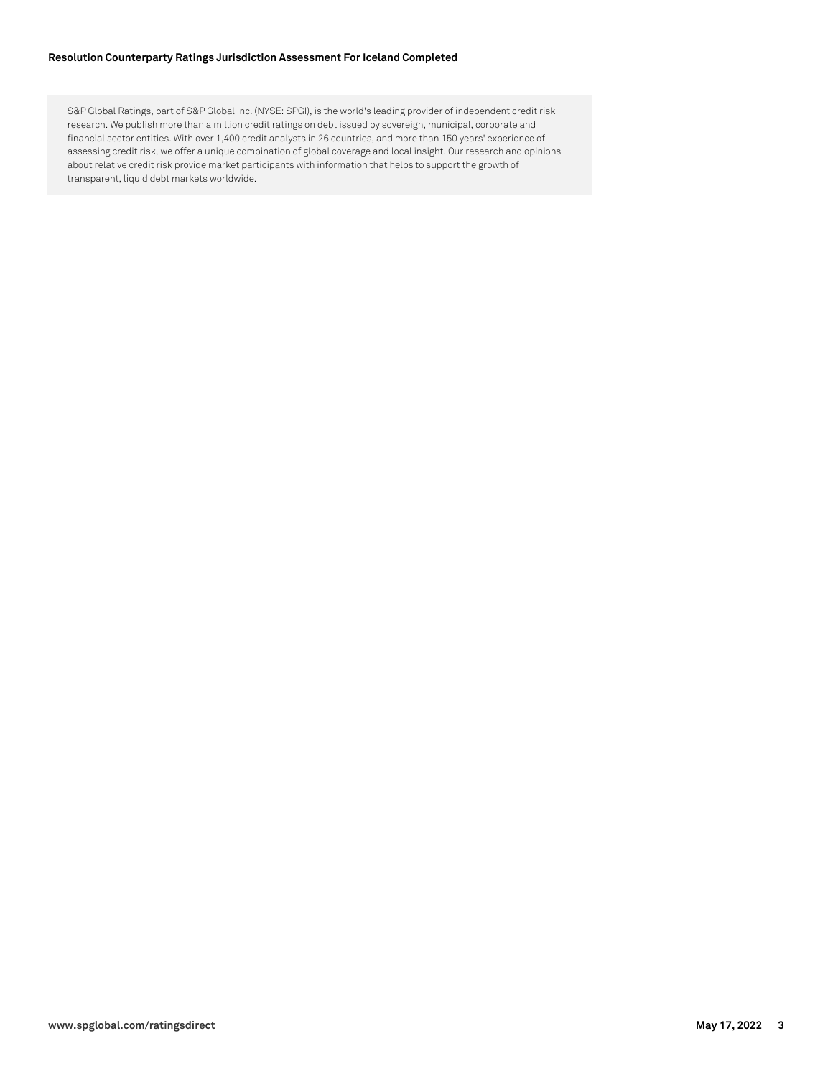#### **Resolution Counterparty Ratings Jurisdiction Assessment For Iceland Completed**

S&P Global Ratings, part of S&P Global Inc. (NYSE: SPGI), is the world's leading provider of independent credit risk research. We publish more than a million credit ratings on debt issued by sovereign, municipal, corporate and financial sector entities. With over 1,400 credit analysts in 26 countries, and more than 150 years' experience of assessing credit risk, we offer a unique combination of global coverage and local insight. Our research and opinions about relative credit risk provide market participants with information that helps to support the growth of transparent, liquid debt markets worldwide.